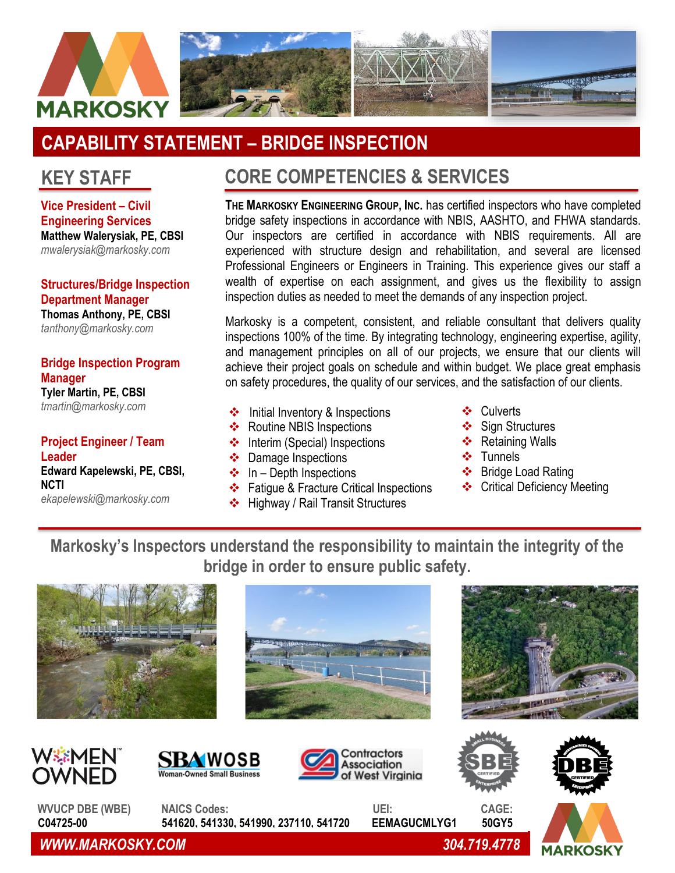

# **CAPABILITY STATEMENT – BRIDGE INSPECTION**

### **KEY STAFF**

**Vice President – Civil Engineering Services Matthew Walerysiak, PE, CBSI** *[mwalerysiak@markosky.com](mailto:mwalerysiak@markosky.com)*

**Structures/Bridge Inspection Department Manager Thomas Anthony, PE, CBSI** *[tanthony@markosky.com](mailto:tanthony@markosky.com)*

#### **Bridge Inspection Program Manager Tyler Martin, PE, CBSI**

*[tmartin@markosky.com](mailto:tmartin@markosky.com)*

### **Project Engineer / Team Leader**

**Edward Kapelewski, PE, CBSI, NCTI** *ekapelewski@markosky.com*

## **CORE COMPETENCIES & SERVICES**

**THE MARKOSKY ENGINEERING GROUP, INC.** has certified inspectors who have completed bridge safety inspections in accordance with NBIS, AASHTO, and FHWA standards. Our inspectors are certified in accordance with NBIS requirements. All are experienced with structure design and rehabilitation, and several are licensed Professional Engineers or Engineers in Training. This experience gives our staff a wealth of expertise on each assignment, and gives us the flexibility to assign inspection duties as needed to meet the demands of any inspection project.

Markosky is a competent, consistent, and reliable consultant that delivers quality inspections 100% of the time. By integrating technology, engineering expertise, agility, and management principles on all of our projects, we ensure that our clients will achieve their project goals on schedule and within budget. We place great emphasis on safety procedures, the quality of our services, and the satisfaction of our clients.

- ❖ Initial Inventory & Inspections **◆** Culverts
- ❖ Routine NBIS Inspections
- ❖ Interim (Special) Inspections
- ❖ Damage Inspections
- $\div$  In Depth Inspections
- ❖ Fatigue & Fracture Critical Inspections
- ❖ Highway / Rail Transit Structures
- ❖ Culverts
- ❖ Sign Structures
- ❖ Retaining Walls
- ❖ Tunnels
- ❖ Bridge Load Rating
- ❖ Critical Deficiency Meeting

**Markosky's Inspectors understand the responsibility to maintain the integrity of the bridge in order to ensure public safety.**

















**MARKOSK** 

WVUCP DBE (WBE) NAICS Codes: UEI: CAGE:  **C04725-00 541620, 541330, 541990, 237110, 541720 EEMAGUCMLYG1 50GY5**

*WWW.MARKOSKY.COM 304.719.4778*